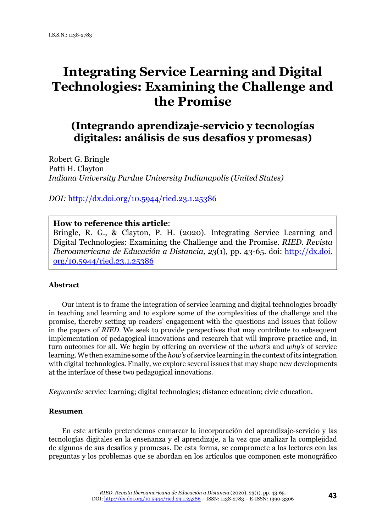# **Integrating Service Learning and Digital Technologies: Examining the Challenge and the Promise**

# **(Integrando aprendizaje-servicio y tecnologías digitales: análisis de sus desafíos y promesas)**

Robert G. Bringle Patti H. Clayton *Indiana University Purdue University Indianapolis (United States)*

*DOI:* <http://dx.doi.org/10.5944/ried.23.1.25386>

## **How to reference this article**:

Bringle, R. G., & Clayton, P. H. (2020). Integrating Service Learning and Digital Technologies: Examining the Challenge and the Promise. *RIED. Revista Iberoamericana de Educación a Distancia, 23*(1)*,* pp. 43-65*.* doi: [http://dx.doi.](http://dx.doi.org/10.5944/ried.23.1.25386) [org/10.5944/ried.23.1.25386](http://dx.doi.org/10.5944/ried.23.1.25386)

#### **Abstract**

Our intent is to frame the integration of service learning and digital technologies broadly in teaching and learning and to explore some of the complexities of the challenge and the promise, thereby setting up readers' engagement with the questions and issues that follow in the papers of *RIED*. We seek to provide perspectives that may contribute to subsequent implementation of pedagogical innovations and research that will improve practice and, in turn outcomes for all. We begin by offering an overview of the *what's* and *why's* of service learning. We then examine some of the *how's* of service learning in the context of its integration with digital technologies. Finally, we explore several issues that may shape new developments at the interface of these two pedagogical innovations.

*Keywords:* service learning; digital technologies; distance education; civic education.

#### **Resumen**

En este artículo pretendemos enmarcar la incorporación del aprendizaje-servicio y las tecnologías digitales en la enseñanza y el aprendizaje, a la vez que analizar la complejidad de algunos de sus desafíos y promesas. De esta forma, se compromete a los lectores con las preguntas y los problemas que se abordan en los artículos que componen este monográfico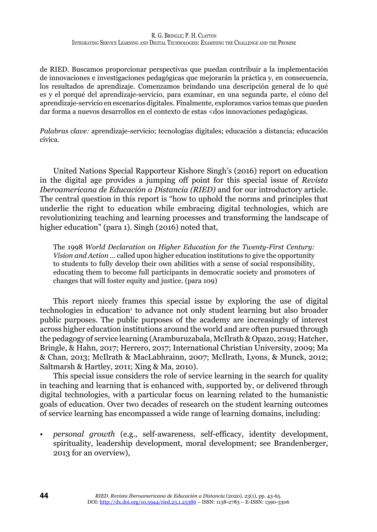de RIED. Buscamos proporcionar perspectivas que puedan contribuir a la implementación de innovaciones e investigaciones pedagógicas que mejorarán la práctica y, en consecuencia, los resultados de aprendizaje. Comenzamos brindando una descripción general de lo qué es y el porqué del aprendizaje-servicio, para examinar, en una segunda parte, el cómo del aprendizaje-servicio en escenarios digitales. Finalmente, exploramos varios temas que pueden dar forma a nuevos desarrollos en el contexto de estas <dos innovaciones pedagógicas.

*Palabras clave:* aprendizaje-servicio; tecnologías digitales; educación a distancia; educación cívica.

United Nations Special Rapporteur Kishore Singh's (2016) report on education in the digital age provides a jumping off point for this special issue of *Revista Iberoamericana de Educación a Distancia (RIED)* and for our introductory article. The central question in this report is "how to uphold the norms and principles that underlie the right to education while embracing digital technologies, which are revolutionizing teaching and learning processes and transforming the landscape of higher education" (para 1). Singh (2016) noted that,

The 1998 *World Declaration on Higher Education for the Twenty-First Century: Vision and Action* … called upon higher education institutions to give the opportunity to students to fully develop their own abilities with a sense of social responsibility, educating them to become full participants in democratic society and promoters of changes that will foster equity and justice. (para 109)

This report nicely frames this special issue by exploring the use of digital technologies in education<sup>1</sup> to advance not only student learning but also broader public purposes. The public purposes of the academy are increasingly of interest across higher education institutions around the world and are often pursued through the pedagogy of service learning (Aramburuzabala, McIlrath & Opazo, 2019; Hatcher, Bringle, & Hahn, 2017; Herrero, 2017; International Christian University, 2009; Ma & Chan, 2013; McIlrath & MacLabhrainn, 2007; McIlrath, Lyons, & Munck, 2012; Saltmarsh & Hartley, 2011; Xing & Ma, 2010).

This special issue considers the role of service learning in the search for quality in teaching and learning that is enhanced with, supported by, or delivered through digital technologies, with a particular focus on learning related to the humanistic goals of education. Over two decades of research on the student learning outcomes of service learning has encompassed a wide range of learning domains, including:

• *personal growth* (e.g., self-awareness, self-efficacy, identity development, spirituality, leadership development, moral development; see Brandenberger, 2013 for an overview),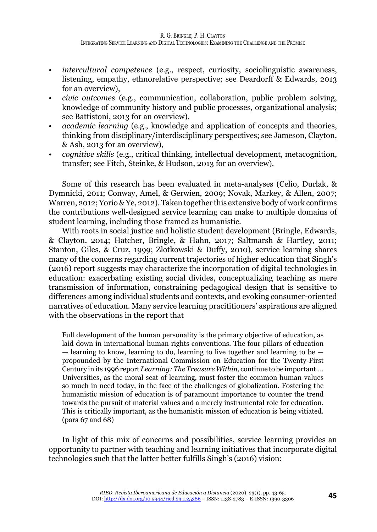- *intercultural competence* (e.g., respect, curiosity, sociolinguistic awareness, listening, empathy, ethnorelative perspective; see Deardorff & Edwards, 2013 for an overview),
- *civic outcomes* (e.g., communication, collaboration, public problem solving, knowledge of community history and public processes, organizational analysis; see Battistoni, 2013 for an overview),
- *academic learning* (e.g., knowledge and application of concepts and theories, thinking from disciplinary/interdisciplinary perspectives; see Jameson, Clayton, & Ash, 2013 for an overview),
- *cognitive skills* (e.g., critical thinking, intellectual development, metacognition, transfer; see Fitch, Steinke, & Hudson, 2013 for an overview).

Some of this research has been evaluated in meta-analyses (Celio, Durlak, & Dymnicki, 2011; Conway, Amel, & Gerwien, 2009; Novak, Markey, & Allen, 2007; Warren, 2012; Yorio & Ye, 2012). Taken together this extensive body of work confirms the contributions well-designed service learning can make to multiple domains of student learning, including those framed as humanistic.

With roots in social justice and holistic student development (Bringle, Edwards, & Clayton, 2014; Hatcher, Bringle, & Hahn, 2017; Saltmarsh & Hartley, 2011; Stanton, Giles, & Cruz, 1999; Zlotkowski & Duffy, 2010), service learning shares many of the concerns regarding current trajectories of higher education that Singh's (2016) report suggests may characterize the incorporation of digital technologies in education: exacerbating existing social divides, conceptualizing teaching as mere transmission of information, constraining pedagogical design that is sensitive to differences among individual students and contexts, and evoking consumer-oriented narratives of education. Many service learning pracititioners' aspirations are aligned with the observations in the report that

Full development of the human personality is the primary objective of education, as laid down in international human rights conventions. The four pillars of education  $-$  learning to know, learning to do, learning to live together and learning to be  $$ propounded by the International Commission on Education for the Twenty-First Century in its 1996 report *Learning: The Treasure Within*, continue to be important.… Universities, as the moral seat of learning, must foster the common human values so much in need today, in the face of the challenges of globalization. Fostering the humanistic mission of education is of paramount importance to counter the trend towards the pursuit of material values and a merely instrumental role for education. This is critically important, as the humanistic mission of education is being vitiated. (para 67 and 68)

In light of this mix of concerns and possibilities, service learning provides an opportunity to partner with teaching and learning initiatives that incorporate digital technologies such that the latter better fulfills Singh's (2016) vision: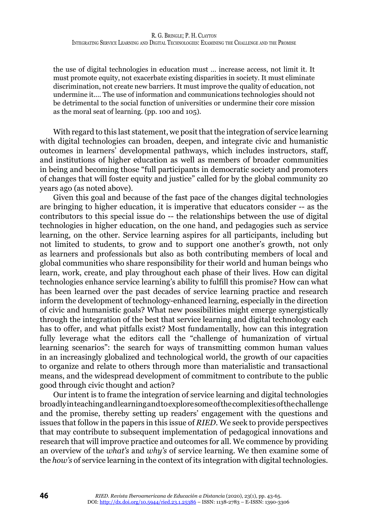the use of digital technologies in education must … increase access, not limit it. It must promote equity, not exacerbate existing disparities in society. It must eliminate discrimination, not create new barriers. It must improve the quality of education, not undermine it.… The use of information and communications technologies should not be detrimental to the social function of universities or undermine their core mission as the moral seat of learning. (pp. 100 and 105).

With regard to this last statement, we posit that the integration of service learning with digital technologies can broaden, deepen, and integrate civic and humanistic outcomes in learners' developmental pathways, which includes instructors, staff, and institutions of higher education as well as members of broader communities in being and becoming those "full participants in democratic society and promoters of changes that will foster equity and justice" called for by the global community 20 years ago (as noted above).

Given this goal and because of the fast pace of the changes digital technologies are bringing to higher education, it is imperative that educators consider -- as the contributors to this special issue do -- the relationships between the use of digital technologies in higher education, on the one hand, and pedagogies such as service learning, on the other. Service learning aspires for all participants, including but not limited to students, to grow and to support one another's growth, not only as learners and professionals but also as both contributing members of local and global communities who share responsibility for their world and human beings who learn, work, create, and play throughout each phase of their lives. How can digital technologies enhance service learning's ability to fulfill this promise? How can what has been learned over the past decades of service learning practice and research inform the development of technology-enhanced learning, especially in the direction of civic and humanistic goals? What new possibilities might emerge synergistically through the integration of the best that service learning and digital technology each has to offer, and what pitfalls exist? Most fundamentally, how can this integration fully leverage what the editors call the "challenge of humanization of virtual learning scenarios": the search for ways of transmitting common human values in an increasingly globalized and technological world, the growth of our capacities to organize and relate to others through more than materialistic and transactional means, and the widespread development of commitment to contribute to the public good through civic thought and action?

Our intent is to frame the integration of service learning and digital technologies broadly in teaching and learning and to explore some of the complexities of the challenge and the promise, thereby setting up readers' engagement with the questions and issues that follow in the papers in this issue of *RIED*. We seek to provide perspectives that may contribute to subsequent implementation of pedagogical innovations and research that will improve practice and outcomes for all. We commence by providing an overview of the *what's* and *why's* of service learning. We then examine some of the *how's* of service learning in the context of its integration with digital technologies.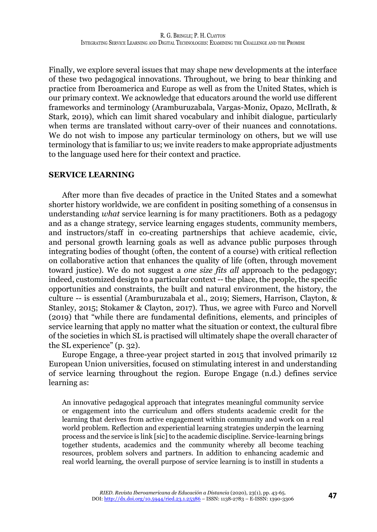Finally, we explore several issues that may shape new developments at the interface of these two pedagogical innovations. Throughout, we bring to bear thinking and practice from Iberoamerica and Europe as well as from the United States, which is our primary context. We acknowledge that educators around the world use different frameworks and terminology (Aramburuzabala, Vargas-Moniz, Opazo, McIlrath, & Stark, 2019), which can limit shared vocabulary and inhibit dialogue, particularly when terms are translated without carry-over of their nuances and connotations. We do not wish to impose any particular terminology on others, but we will use terminology that is familiar to us; we invite readers to make appropriate adjustments to the language used here for their context and practice.

#### **SERVICE LEARNING**

After more than five decades of practice in the United States and a somewhat shorter history worldwide, we are confident in positing something of a consensus in understanding *what* service learning is for many practitioners. Both as a pedagogy and as a change strategy, service learning engages students, community members, and instructors/staff in co-creating partnerships that achieve academic, civic, and personal growth learning goals as well as advance public purposes through integrating bodies of thought (often, the content of a course) with critical reflection on collaborative action that enhances the quality of life (often, through movement toward justice). We do not suggest a *one size fits all* approach to the pedagogy; indeed, customized design to a particular context -- the place, the people, the specific opportunities and constraints, the built and natural environment, the history, the culture -- is essential (Aramburuzabala et al., 2019; Siemers, Harrison, Clayton, & Stanley, 2015; Stokamer & Clayton, 2017). Thus, we agree with Furco and Norvell (2019) that "while there are fundamental definitions, elements, and principles of service learning that apply no matter what the situation or context, the cultural fibre of the societies in which SL is practised will ultimately shape the overall character of the SL experience" (p. 32).

Europe Engage, a three-year project started in 2015 that involved primarily 12 European Union universities, focused on stimulating interest in and understanding of service learning throughout the region. Europe Engage (n.d.) defines service learning as:

An innovative pedagogical approach that integrates meaningful community service or engagement into the curriculum and offers students academic credit for the learning that derives from active engagement within community and work on a real world problem. Reflection and experiential learning strategies underpin the learning process and the service is link [sic] to the academic discipline. Service-learning brings together students, academics and the community whereby all become teaching resources, problem solvers and partners. In addition to enhancing academic and real world learning, the overall purpose of service learning is to instill in students a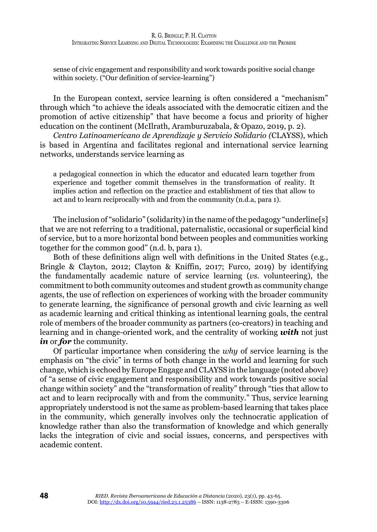sense of civic engagement and responsibility and work towards positive social change within society. ("Our definition of service-learning")

In the European context, service learning is often considered a "mechanism" through which "to achieve the ideals associated with the democratic citizen and the promotion of active citizenship" that have become a focus and priority of higher education on the continent (McIlrath, Aramburuzabala, & Opazo, 2019, p. 2).

*Centro Latinoamericano de Aprendizaje y Servicio Solidario (*CLAYSS), which is based in Argentina and facilitates regional and international service learning networks, understands service learning as

a pedagogical connection in which the educator and educated learn together from experience and together commit themselves in the transformation of reality. It implies action and reflection on the practice and establishment of ties that allow to act and to learn reciprocally with and from the community (n.d.a, para 1).

The inclusion of "solidario" (solidarity) in the name of the pedagogy "underline[s] that we are not referring to a traditional, paternalistic, occasional or superficial kind of service, but to a more horizontal bond between peoples and communities working together for the common good" (n.d. b, para 1).

Both of these definitions align well with definitions in the United States (e.g., Bringle & Clayton, 2012; Clayton & Kniffin, 2017; Furco, 2019) by identifying the fundamentally academic nature of service learning (*vs.* volunteering), the commitment to both community outcomes and student growth as community change agents, the use of reflection on experiences of working with the broader community to generate learning, the significance of personal growth and civic learning as well as academic learning and critical thinking as intentional learning goals, the central role of members of the broader community as partners (co-creators) in teaching and learning and in change-oriented work, and the centrality of working *with* not just *in* or *for* the community.

Of particular importance when considering the *why* of service learning is the emphasis on "the civic" in terms of both change in the world and learning for such change, which is echoed by Europe Engage and CLAYSS in the language (noted above) of "a sense of civic engagement and responsibility and work towards positive social change within society" and the "transformation of reality" through "ties that allow to act and to learn reciprocally with and from the community." Thus, service learning appropriately understood is not the same as problem-based learning that takes place in the community, which generally involves only the technocratic application of knowledge rather than also the transformation of knowledge and which generally lacks the integration of civic and social issues, concerns, and perspectives with academic content.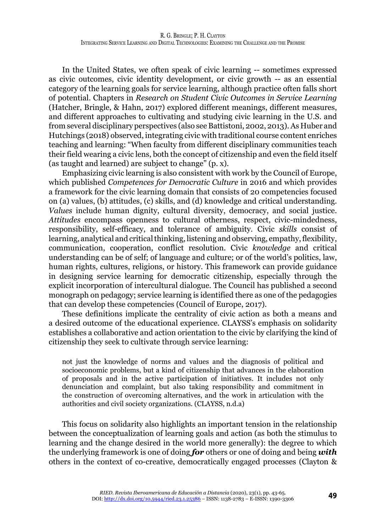In the United States, we often speak of civic learning -- sometimes expressed as civic outcomes, civic identity development, or civic growth -- as an essential category of the learning goals for service learning, although practice often falls short of potential. Chapters in *Research on Student Civic Outcomes in Service Learning* (Hatcher, Bringle, & Hahn, 2017) explored different meanings, different measures, and different approaches to cultivating and studying civic learning in the U.S. and from several disciplinary perspectives (also see Battistoni, 2002, 2013). As Huber and Hutchings (2018) observed, integrating civic with traditional course content enriches teaching and learning: "When faculty from different disciplinary communities teach their field wearing a civic lens, both the concept of citizenship and even the field itself (as taught and learned) are subject to change" (p. x).

Emphasizing civic learning is also consistent with work by the Council of Europe, which published *Competences for Democratic Culture* in 2016 and which provides a framework for the civic learning domain that consists of 20 competencies focused on (a) values, (b) attitudes, (c) skills, and (d) knowledge and critical understanding. *Values* include human dignity, cultural diversity, democracy, and social justice. *Attitudes* encompass openness to cultural otherness, respect, civic-mindedness, responsibility, self-efficacy, and tolerance of ambiguity. Civic *skills* consist of learning, analytical and critical thinking, listening and observing, empathy, flexibility, communication, cooperation, conflict resolution. Civic *knowledge* and critical understanding can be of self; of language and culture; or of the world's politics, law, human rights, cultures, religions, or history. This framework can provide guidance in designing service learning for democratic citizenship, especially through the explicit incorporation of intercultural dialogue. The Council has published a second monograph on pedagogy; service learning is identified there as one of the pedagogies that can develop these competencies (Council of Europe, 2017).

These definitions implicate the centrality of civic action as both a means and a desired outcome of the educational experience. CLAYSS's emphasis on solidarity establishes a collaborative and action orientation to the civic by clarifying the kind of citizenship they seek to cultivate through service learning:

not just the knowledge of norms and values and the diagnosis of political and socioeconomic problems, but a kind of citizenship that advances in the elaboration of proposals and in the active participation of initiatives. It includes not only denunciation and complaint, but also taking responsibility and commitment in the construction of overcoming alternatives, and the work in articulation with the authorities and civil society organizations. (CLAYSS, n.d.a)

This focus on solidarity also highlights an important tension in the relationship between the conceptualization of learning goals and action (as both the stimulus to learning and the change desired in the world more generally): the degree to which the underlying framework is one of doing *for* others or one of doing and being *with* others in the context of co-creative, democratically engaged processes (Clayton &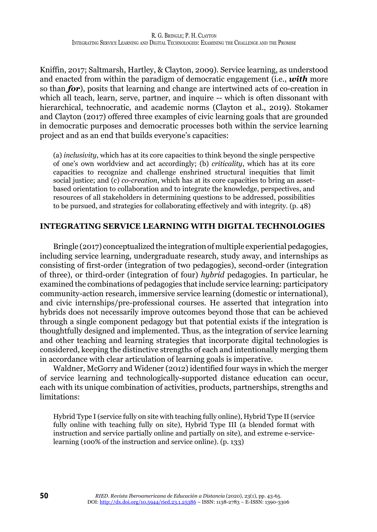Kniffin, 2017; Saltmarsh, Hartley, & Clayton, 2009). Service learning, as understood and enacted from within the paradigm of democratic engagement (i.e., *with* more so than *for*), posits that learning and change are intertwined acts of co-creation in which all teach, learn, serve, partner, and inquire -- which is often dissonant with hierarchical, technocratic, and academic norms (Clayton et al., 2019). Stokamer and Clayton (2017) offered three examples of civic learning goals that are grounded in democratic purposes and democratic processes both within the service learning project and as an end that builds everyone's capacities:

(a) *inclusivity*, which has at its core capacities to think beyond the single perspective of one's own worldview and act accordingly; (b) *criticality*, which has at its core capacities to recognize and challenge enshrined structural inequities that limit social justice; and (c) *co-creation*, which has at its core capacities to bring an assetbased orientation to collaboration and to integrate the knowledge, perspectives, and resources of all stakeholders in determining questions to be addressed, possibilities to be pursued, and strategies for collaborating effectively and with integrity. (p. 48)

### **INTEGRATING SERVICE LEARNING WITH DIGITAL TECHNOLOGIES**

Bringle (2017) conceptualized the integration of multiple experiential pedagogies, including service learning, undergraduate research, study away, and internships as consisting of first-order (integration of two pedagogies), second-order (integration of three), or third-order (integration of four) *hybrid* pedagogies. In particular, he examined the combinations of pedagogies that include service learning: participatory community-action research, immersive service learning (domestic or international), and civic internships/pre-professional courses. He asserted that integration into hybrids does not necessarily improve outcomes beyond those that can be achieved through a single component pedagogy but that potential exists if the integration is thoughtfully designed and implemented. Thus, as the integration of service learning and other teaching and learning strategies that incorporate digital technologies is considered, keeping the distinctive strengths of each and intentionally merging them in accordance with clear articulation of learning goals is imperative.

Waldner, McGorry and Widener (2012) identified four ways in which the merger of service learning and technologically-supported distance education can occur, each with its unique combination of activities, products, partnerships, strengths and limitations:

Hybrid Type I (service fully on site with teaching fully online), Hybrid Type II (service fully online with teaching fully on site), Hybrid Type III (a blended format with instruction and service partially online and partially on site), and extreme e-servicelearning (100% of the instruction and service online). (p. 133)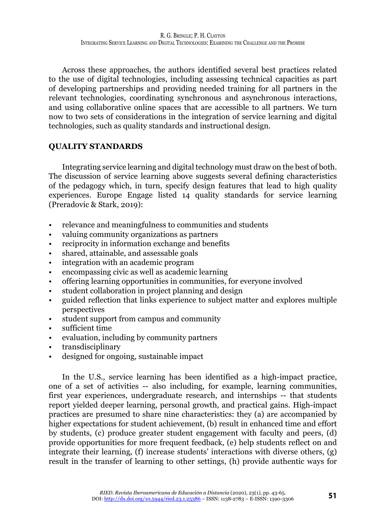Across these approaches, the authors identified several best practices related to the use of digital technologies, including assessing technical capacities as part of developing partnerships and providing needed training for all partners in the relevant technologies, coordinating synchronous and asynchronous interactions, and using collaborative online spaces that are accessible to all partners. We turn now to two sets of considerations in the integration of service learning and digital technologies, such as quality standards and instructional design.

# **QUALITY STANDARDS**

Integrating service learning and digital technology must draw on the best of both. The discussion of service learning above suggests several defining characteristics of the pedagogy which, in turn, specify design features that lead to high quality experiences. Europe Engage listed 14 quality standards for service learning (Preradovic & Stark, 2019):

- relevance and meaningfulness to communities and students
- valuing community organizations as partners
- reciprocity in information exchange and benefits
- shared, attainable, and assessable goals
- integration with an academic program
- encompassing civic as well as academic learning
- offering learning opportunities in communities, for everyone involved
- student collaboration in project planning and design
- guided reflection that links experience to subject matter and explores multiple perspectives
- student support from campus and community
- sufficient time
- evaluation, including by community partners
- transdisciplinary
- designed for ongoing, sustainable impact

In the U.S., service learning has been identified as a high-impact practice, one of a set of activities -- also including, for example, learning communities, first year experiences, undergraduate research, and internships -- that students report yielded deeper learning, personal growth, and practical gains. High-impact practices are presumed to share nine characteristics: they (a) are accompanied by higher expectations for student achievement, (b) result in enhanced time and effort by students, (c) produce greater student engagement with faculty and peers, (d) provide opportunities for more frequent feedback, (e) help students reflect on and integrate their learning, (f) increase students' interactions with diverse others, (g) result in the transfer of learning to other settings, (h) provide authentic ways for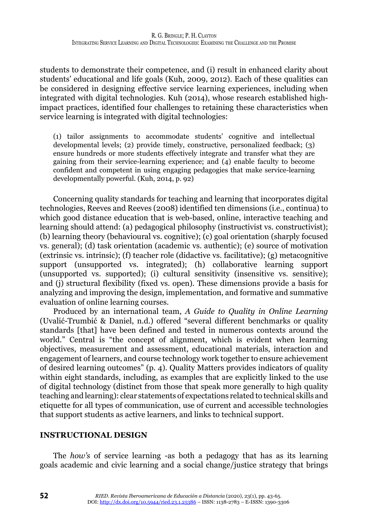students to demonstrate their competence, and (i) result in enhanced clarity about students' educational and life goals (Kuh, 2009, 2012). Each of these qualities can be considered in designing effective service learning experiences, including when integrated with digital technologies. Kuh (2014), whose research established highimpact practices, identified four challenges to retaining these characteristics when service learning is integrated with digital technologies:

(1) tailor assignments to accommodate students' cognitive and intellectual developmental levels; (2) provide timely, constructive, personalized feedback; (3) ensure hundreds or more students effectively integrate and transfer what they are gaining from their service-learning experience; and (4) enable faculty to become confident and competent in using engaging pedagogies that make service-learning developmentally powerful. (Kuh, 2014, p. 92)

Concerning quality standards for teaching and learning that incorporates digital technologies, Reeves and Reeves (2008) identified ten dimensions (i.e., continua) to which good distance education that is web-based, online, interactive teaching and learning should attend: (a) pedagogical philosophy (instructivist vs. constructivist); (b) learning theory (behavioural vs. cognitive); (c) goal orientation (sharply focused vs. general); (d) task orientation (academic vs. authentic); (e) source of motivation (extrinsic vs. intrinsic); (f) teacher role (didactive vs. facilitative); (g) metacognitive support (unsupported vs. integrated); (h) collaborative learning support (unsupported vs. supported); (i) cultural sensitivity (insensitive vs. sensitive); and (j) structural flexibility (fixed vs. open). These dimensions provide a basis for analyzing and improving the design, implementation, and formative and summative evaluation of online learning courses.

Produced by an international team, *A Guide to Quality in Online Learning* (Uvalić-Trumbić & Daniel, n.d.) offered "several different benchmarks or quality standards [that] have been defined and tested in numerous contexts around the world." Central is "the concept of alignment, which is evident when learning objectives, measurement and assessment, educational materials, interaction and engagement of learners, and course technology work together to ensure achievement of desired learning outcomes" (p. 4). Quality Matters provides indicators of quality within eight standards, including, as examples that are explicitly linked to the use of digital technology (distinct from those that speak more generally to high quality teaching and learning): clear statements of expectations related to technical skills and etiquette for all types of communication, use of current and accessible technologies that support students as active learners, and links to technical support.

#### **INSTRUCTIONAL DESIGN**

The *how's* of service learning -as both a pedagogy that has as its learning goals academic and civic learning and a social change/justice strategy that brings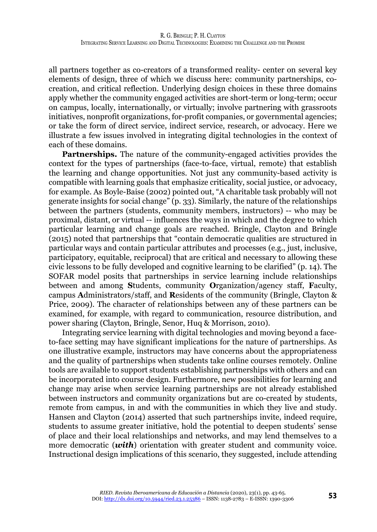all partners together as co-creators of a transformed reality- center on several key elements of design, three of which we discuss here: community partnerships, cocreation, and critical reflection. Underlying design choices in these three domains apply whether the community engaged activities are short-term or long-term; occur on campus, locally, internationally, or virtually; involve partnering with grassroots initiatives, nonprofit organizations, for-profit companies, or governmental agencies; or take the form of direct service, indirect service, research, or advocacy. Here we illustrate a few issues involved in integrating digital technologies in the context of each of these domains.

**Partnerships.** The nature of the community-engaged activities provides the context for the types of partnerships (face-to-face, virtual, remote) that establish the learning and change opportunities. Not just any community-based activity is compatible with learning goals that emphasize criticality, social justice, or advocacy, for example. As Boyle-Baise (2002) pointed out, "A charitable task probably will not generate insights for social change" (p. 33). Similarly, the nature of the relationships between the partners (students, community members, instructors) -- who may be proximal, distant, or virtual -- influences the ways in which and the degree to which particular learning and change goals are reached. Bringle, Clayton and Bringle (2015) noted that partnerships that "contain democratic qualities are structured in particular ways and contain particular attributes and processes (e.g., just, inclusive, participatory, equitable, reciprocal) that are critical and necessary to allowing these civic lessons to be fully developed and cognitive learning to be clarified" (p. 14). The SOFAR model posits that partnerships in service learning include relationships between and among **S**tudents, community **O**rganization/agency staff, **F**aculty, campus **A**dministrators/staff, and **R**esidents of the community (Bringle, Clayton & Price, 2009). The character of relationships between any of these partners can be examined, for example, with regard to communication, resource distribution, and power sharing (Clayton, Bringle, Senor, Huq & Morrison, 2010).

Integrating service learning with digital technologies and moving beyond a faceto-face setting may have significant implications for the nature of partnerships. As one illustrative example, instructors may have concerns about the appropriateness and the quality of partnerships when students take online courses remotely. Online tools are available to support students establishing partnerships with others and can be incorporated into course design. Furthermore, new possibilities for learning and change may arise when service learning partnerships are not already established between instructors and community organizations but are co-created by students, remote from campus, in and with the communities in which they live and study. Hansen and Clayton (2014) asserted that such partnerships invite, indeed require, students to assume greater initiative, hold the potential to deepen students' sense of place and their local relationships and networks, and may lend themselves to a more democratic (*with*) orientation with greater student and community voice. Instructional design implications of this scenario, they suggested, include attending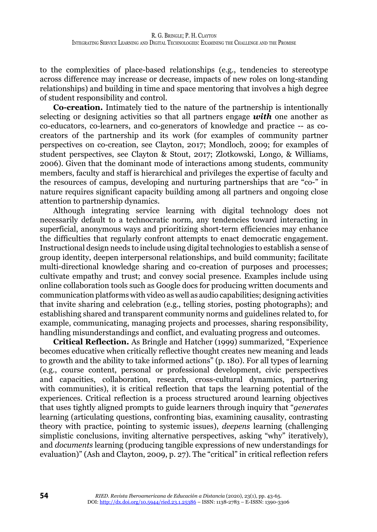to the complexities of place-based relationships (e.g., tendencies to stereotype across difference may increase or decrease, impacts of new roles on long-standing relationships) and building in time and space mentoring that involves a high degree of student responsibility and control.

**Co-creation.** Intimately tied to the nature of the partnership is intentionally selecting or designing activities so that all partners engage *with* one another as co-educators, co-learners, and co-generators of knowledge and practice -- as cocreators of the partnership and its work (for examples of community partner perspectives on co-creation, see Clayton, 2017; Mondloch, 2009; for examples of student perspectives, see Clayton & Stout, 2017; Zlotkowski, Longo, & Williams, 2006). Given that the dominant mode of interactions among students, community members, faculty and staff is hierarchical and privileges the expertise of faculty and the resources of campus, developing and nurturing partnerships that are "co-" in nature requires significant capacity building among all partners and ongoing close attention to partnership dynamics.

Although integrating service learning with digital technology does not necessarily default to a technocratic norm, any tendencies toward interacting in superficial, anonymous ways and prioritizing short-term efficiencies may enhance the difficulties that regularly confront attempts to enact democratic engagement. Instructional design needs to include using digital technologies to establish a sense of group identity, deepen interpersonal relationships, and build community; facilitate multi-directional knowledge sharing and co-creation of purposes and processes; cultivate empathy and trust; and convey social presence. Examples include using online collaboration tools such as Google docs for producing written documents and communication platforms with video as well as audio capabilities; designing activities that invite sharing and celebration (e.g., telling stories, posting photographs); and establishing shared and transparent community norms and guidelines related to, for example, communicating, managing projects and processes, sharing responsibility, handling misunderstandings and conflict, and evaluating progress and outcomes.

**Critical Reflection.** As Bringle and Hatcher (1999) summarized, "Experience becomes educative when critically reflective thought creates new meaning and leads to growth and the ability to take informed actions" (p. 180). For all types of learning (e.g., course content, personal or professional development, civic perspectives and capacities, collaboration, research, cross-cultural dynamics, partnering with communities), it is critical reflection that taps the learning potential of the experiences. Critical reflection is a process structured around learning objectives that uses tightly aligned prompts to guide learners through inquiry that "*generates* learning (articulating questions, confronting bias, examining causality, contrasting theory with practice, pointing to systemic issues), *deepens* learning (challenging simplistic conclusions, inviting alternative perspectives, asking "why" iteratively), and *documents* learning (producing tangible expressions of new understandings for evaluation)" (Ash and Clayton, 2009, p. 27). The "critical" in critical reflection refers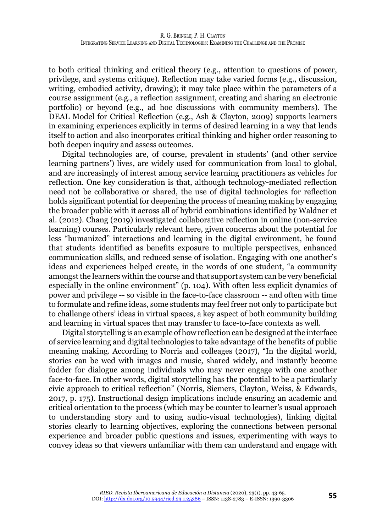to both critical thinking and critical theory (e.g., attention to questions of power, privilege, and systems critique). Reflection may take varied forms (e.g., discussion, writing, embodied activity, drawing); it may take place within the parameters of a course assignment (e.g., a reflection assignment, creating and sharing an electronic portfolio) or beyond (e.g., ad hoc discussions with community members). The DEAL Model for Critical Reflection (e.g., Ash & Clayton, 2009) supports learners in examining experiences explicitly in terms of desired learning in a way that lends itself to action and also incorporates critical thinking and higher order reasoning to both deepen inquiry and assess outcomes.

Digital technologies are, of course, prevalent in students' (and other service learning partners') lives, are widely used for communication from local to global, and are increasingly of interest among service learning practitioners as vehicles for reflection. One key consideration is that, although technology-mediated reflection need not be collaborative or shared, the use of digital technologies for reflection holds significant potential for deepening the process of meaning making by engaging the broader public with it across all of hybrid combinations identified by Waldner et al. (2012). Chang (2019) investigated collaborative reflection in online (non-service learning) courses. Particularly relevant here, given concerns about the potential for less "humanized" interactions and learning in the digital environment, he found that students identified as benefits exposure to multiple perspectives, enhanced communication skills, and reduced sense of isolation. Engaging with one another's ideas and experiences helped create, in the words of one student, "a community amongst the learners within the course and that support system can be very beneficial especially in the online environment" (p. 104). With often less explicit dynamics of power and privilege -- so visible in the face-to-face classroom -- and often with time to formulate and refine ideas, some students may feel freer not only to participate but to challenge others' ideas in virtual spaces, a key aspect of both community building and learning in virtual spaces that may transfer to face-to-face contexts as well.

Digital storytelling is an example of how reflection can be designed at the interface of service learning and digital technologies to take advantage of the benefits of public meaning making. According to Norris and colleages (2017), "In the digital world, stories can be wed with images and music, shared widely, and instantly become fodder for dialogue among individuals who may never engage with one another face-to-face. In other words, digital storytelling has the potential to be a particularly civic approach to critical reflection" (Norris, Siemers, Clayton, Weiss, & Edwards, 2017, p. 175). Instructional design implications include ensuring an academic and critical orientation to the process (which may be counter to learner's usual approach to understanding story and to using audio-visual technologies), linking digital stories clearly to learning objectives, exploring the connections between personal experience and broader public questions and issues, experimenting with ways to convey ideas so that viewers unfamiliar with them can understand and engage with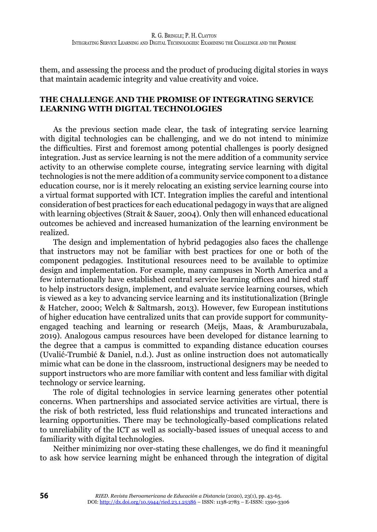them, and assessing the process and the product of producing digital stories in ways that maintain academic integrity and value creativity and voice.

# **THE CHALLENGE AND THE PROMISE OF INTEGRATING SERVICE LEARNING WITH DIGITAL TECHNOLOGIES**

As the previous section made clear, the task of integrating service learning with digital technologies can be challenging, and we do not intend to minimize the difficulties. First and foremost among potential challenges is poorly designed integration. Just as service learning is not the mere addition of a community service activity to an otherwise complete course, integrating service learning with digital technologies is not the mere addition of a community service component to a distance education course, nor is it merely relocating an existing service learning course into a virtual format supported with ICT. Integration implies the careful and intentional consideration of best practices for each educational pedagogy in ways that are aligned with learning objectives (Strait & Sauer, 2004). Only then will enhanced educational outcomes be achieved and increased humanization of the learning environment be realized.

The design and implementation of hybrid pedagogies also faces the challenge that instructors may not be familiar with best practices for one or both of the component pedagogies. Institutional resources need to be available to optimize design and implementation. For example, many campuses in North America and a few internationally have established central service learning offices and hired staff to help instructors design, implement, and evaluate service learning courses, which is viewed as a key to advancing service learning and its institutionalization (Bringle & Hatcher, 2000; Welch & Saltmarsh, 2013). However, few European institutions of higher education have centralized units that can provide support for communityengaged teaching and learning or research (Meijs, Maas, & Aramburuzabala, 2019). Analogous campus resources have been developed for distance learning to the degree that a campus is committed to expanding distance education courses (Uvalić-Trumbić & Daniel, n.d.). Just as online instruction does not automatically mimic what can be done in the classroom, instructional designers may be needed to support instructors who are more familiar with content and less familiar with digital technology or service learning.

The role of digital technologies in service learning generates other potential concerns. When partnerships and associated service activities are virtual, there is the risk of both restricted, less fluid relationships and truncated interactions and learning opportunities. There may be technologically-based complications related to unreliability of the ICT as well as socially-based issues of unequal access to and familiarity with digital technologies.

Neither minimizing nor over-stating these challenges, we do find it meaningful to ask how service learning might be enhanced through the integration of digital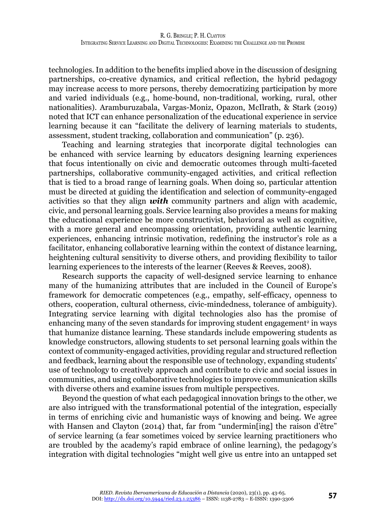technologies. In addition to the benefits implied above in the discussion of designing partnerships, co-creative dynamics, and critical reflection, the hybrid pedagogy may increase access to more persons, thereby democratizing participation by more and varied individuals (e.g., home-bound, non-traditional, working, rural, other nationalities). Aramburuzabala, Vargas-Moniz, Opazon, McIlrath, & Stark (2019) noted that ICT can enhance personalization of the educational experience in service learning because it can "facilitate the delivery of learning materials to students, assessment, student tracking, collaboration and communication" (p. 236).

Teaching and learning strategies that incorporate digital technologies can be enhanced with service learning by educators designing learning experiences that focus intentionally on civic and democratic outcomes through multi-faceted partnerships, collaborative community-engaged activities, and critical reflection that is tied to a broad range of learning goals. When doing so, particular attention must be directed at guiding the identification and selection of community-engaged activities so that they align *with* community partners and align with academic, civic, and personal learning goals. Service learning also provides a means for making the educational experience be more constructivist, behavioral as well as cognitive, with a more general and encompassing orientation, providing authentic learning experiences, enhancing intrinsic motivation, redefining the instructor's role as a facilitator, enhancing collaborative learning within the context of distance learning, heightening cultural sensitivity to diverse others, and providing flexibility to tailor learning experiences to the interests of the learner (Reeves & Reeves, 2008).

Research supports the capacity of well-designed service learning to enhance many of the humanizing attributes that are included in the Council of Europe's framework for democratic competences (e.g., empathy, self-efficacy, openness to others, cooperation, cultural otherness, civic-mindedness, tolerance of ambiguity). Integrating service learning with digital technologies also has the promise of enhancing many of the seven standards for improving student engagement $^{\circ}$  in ways that humanize distance learning. These standards include empowering students as knowledge constructors, allowing students to set personal learning goals within the context of community-engaged activities, providing regular and structured reflection and feedback, learning about the responsible use of technology, expanding students' use of technology to creatively approach and contribute to civic and social issues in communities, and using collaborative technologies to improve communication skills with diverse others and examine issues from multiple perspectives.

Beyond the question of what each pedagogical innovation brings to the other, we are also intrigued with the transformational potential of the integration, especially in terms of enriching civic and humanistic ways of knowing and being. We agree with Hansen and Clayton (2014) that, far from "undermin[ing] the raison d'être" of service learning (a fear sometimes voiced by service learning practitioners who are troubled by the academy's rapid embrace of online learning), the pedagogy's integration with digital technologies "might well give us entre into an untapped set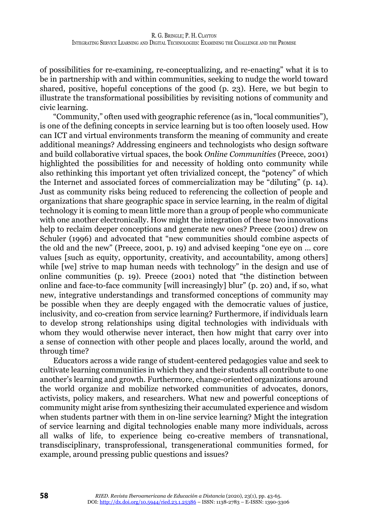of possibilities for re-examining, re-conceptualizing, and re-enacting" what it is to be in partnership with and within communities, seeking to nudge the world toward shared, positive, hopeful conceptions of the good (p. 23). Here, we but begin to illustrate the transformational possibilities by revisiting notions of community and civic learning.

"Community," often used with geographic reference (as in, "local communities"), is one of the defining concepts in service learning but is too often loosely used. How can ICT and virtual environments transform the meaning of community and create additional meanings? Addressing engineers and technologists who design software and build collaborative virtual spaces, the book *Online Communities* (Preece, 2001) highlighted the possibilities for and necessity of holding onto community while also rethinking this important yet often trivialized concept, the "potency" of which the Internet and associated forces of commercialization may be "diluting" (p. 14). Just as community risks being reduced to referencing the collection of people and organizations that share geographic space in service learning, in the realm of digital technology it is coming to mean little more than a group of people who communicate with one another electronically. How might the integration of these two innovations help to reclaim deeper conceptions and generate new ones? Preece (2001) drew on Schuler (1996) and advocated that "new communities should combine aspects of the old and the new" (Preece, 2001, p. 19) and advised keeping "one eye on … core values [such as equity, opportunity, creativity, and accountability, among others] while [we] strive to map human needs with technology" in the design and use of online communities (p. 19). Preece (2001) noted that "the distinction between online and face-to-face community [will increasingly] blur" (p. 20) and, if so, what new, integrative understandings and transformed conceptions of community may be possible when they are deeply engaged with the democratic values of justice, inclusivity, and co-creation from service learning? Furthermore, if individuals learn to develop strong relationships using digital technologies with individuals with whom they would otherwise never interact, then how might that carry over into a sense of connection with other people and places locally, around the world, and through time?

Educators across a wide range of student-centered pedagogies value and seek to cultivate learning communities in which they and their students all contribute to one another's learning and growth. Furthermore, change-oriented organizations around the world organize and mobilize networked communities of advocates, donors, activists, policy makers, and researchers. What new and powerful conceptions of community might arise from synthesizing their accumulated experience and wisdom when students partner with them in on-line service learning? Might the integration of service learning and digital technologies enable many more individuals, across all walks of life, to experience being co-creative members of transnational, transdisciplinary, transprofessional, transgenerational communities formed, for example, around pressing public questions and issues?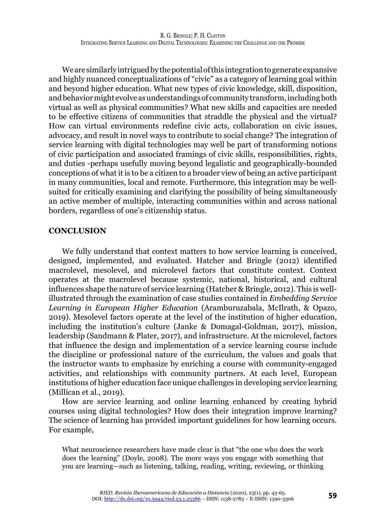We are similarly intrigued by the potential of this integration to generate expansive and highly nuanced conceptualizations of "civic" as a category of learning goal within and beyond higher education. What new types of civic knowledge, skill, disposition, and behavior might evolve as understandings of community transform, including both virtual as well as physical communities? What new skills and capacities are needed to be effective citizens of communities that straddle the physical and the virtual? How can virtual environments redefine civic acts, collaboration on civic issues, advocacy, and result in novel ways to contribute to social change? The integration of service learning with digital technologies may well be part of transforming notions of civic participation and associated framings of civic skills, responsibilities, rights, and duties -perhaps usefully moving beyond legalistic and geographically-bounded conceptions of what it is to be a citizen to a broader view of being an active participant in many communities, local and remote. Furthermore, this integration may be wellsuited for critically examining and clarifying the possibility of being simultaneously an active member of multiple, interacting communities within and across national borders, regardless of one's citizenship status.

#### **CONCLUSION**

We fully understand that context matters to how service learning is conceived, designed, implemented, and evaluated. Hatcher and Bringle (2012) identified macrolevel, mesolevel, and microlevel factors that constitute context. Context operates at the macrolevel because systemic, national, historical, and cultural influences shape the nature of service learning (Hatcher & Bringle, 2012). This is wellillustrated through the examination of case studies contained in *Embedding Service Learning in European Higher Education* (Aramburuzabala, McIlrath, & Opazo, 2019). Mesolevel factors operate at the level of the institution of higher education, including the institution's culture (Janke & Domagal-Goldman, 2017), mission, leadership (Sandmann & Plater, 2017), and infrastructure. At the microlevel, factors that influence the design and implementation of a service learning course include the discipline or professional nature of the curriculum, the values and goals that the instructor wants to emphasize by enriching a course with community-engaged activities, and relationships with community partners. At each level, European institutions of higher education face unique challenges in developing service learning (Millican et al., 2019).

How are service learning and online learning enhanced by creating hybrid courses using digital technologies? How does their integration improve learning? The science of learning has provided important guidelines for how learning occurs. For example,

What neuroscience researchers have made clear is that "the one who does the work does the learning" (Doyle, 2008). The more ways you engage with something that you are learning—such as listening, talking, reading, writing, reviewing, or thinking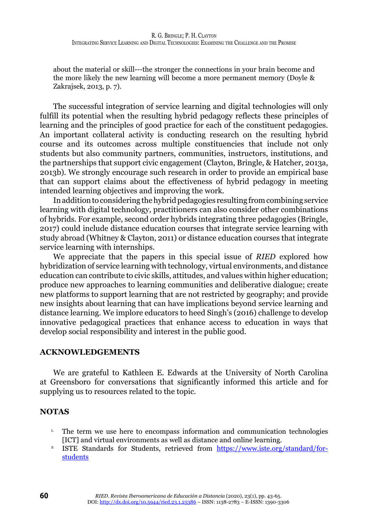about the material or skill---the stronger the connections in your brain become and the more likely the new learning will become a more permanent memory (Doyle & Zakrajsek, 2013, p. 7).

The successful integration of service learning and digital technologies will only fulfill its potential when the resulting hybrid pedagogy reflects these principles of learning and the principles of good practice for each of the constituent pedagogies. An important collateral activity is conducting research on the resulting hybrid course and its outcomes across multiple constituencies that include not only students but also community partners, communities, instructors, institutions, and the partnerships that support civic engagement (Clayton, Bringle, & Hatcher, 2013a, 2013b). We strongly encourage such research in order to provide an empirical base that can support claims about the effectiveness of hybrid pedagogy in meeting intended learning objectives and improving the work.

In addition to considering the hybrid pedagogies resulting from combining service learning with digital technology, practitioners can also consider other combinations of hybrids. For example, second order hybrids integrating three pedagogies (Bringle, 2017) could include distance education courses that integrate service learning with study abroad (Whitney & Clayton, 2011) or distance education courses that integrate service learning with internships.

We appreciate that the papers in this special issue of *RIED* explored how hybridization of service learning with technology, virtual environments, and distance education can contribute to civic skills, attitudes, and values within higher education; produce new approaches to learning communities and deliberative dialogue; create new platforms to support learning that are not restricted by geography; and provide new insights about learning that can have implications beyond service learning and distance learning. We implore educators to heed Singh's (2016) challenge to develop innovative pedagogical practices that enhance access to education in ways that develop social responsibility and interest in the public good.

# **ACKNOWLEDGEMENTS**

We are grateful to Kathleen E. Edwards at the University of North Carolina at Greensboro for conversations that significantly informed this article and for supplying us to resources related to the topic.

# **NOTAS**

- <sup>1.</sup> The term we use here to encompass information and communication technologies [ICT] and virtual environments as well as distance and online learning.
- <sup>2.</sup> ISTE Standards for Students, retrieved from [https://www.iste.org/standard/for](https://www.iste.org/standard/for-students)[students](https://www.iste.org/standard/for-students)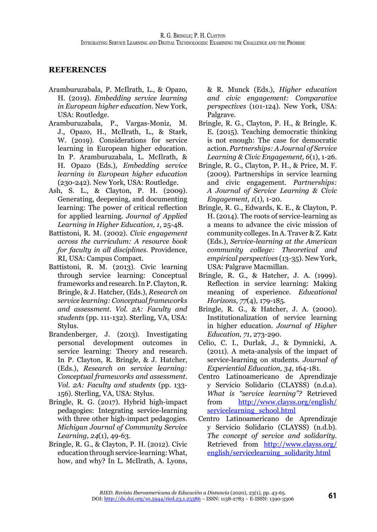# **REFERENCES**

- Aramburuzabala, P. McIlrath, L., & Opazo, H. (2019). *Embedding service learning in European higher education*. New York, USA: Routledge.
- Aramburuzabala, P., Vargas-Moniz, M. J., Opazo, H., McIlrath, L., & Stark, W. (2019). Considerations for service learning in European higher education. In P. Aramburuzabala, L. McIlrath, & H. Opazo (Eds.), *Embedding service learning in European higher education* (230-242). New York, USA: Routledge.
- Ash, S. L., & Clayton, P. H. (2009). Generating, deepening, and documenting learning: The power of critical reflection for applied learning. *Journal of Applied Learning in Higher Education, 1*, 25-48.
- Battistoni, R. M. (2002). *Civic engagement across the curriculum: A resource book for faculty in all disciplines.* Providence, RI, USA: Campus Compact.
- Battistoni, R. M. (2013). Civic learning through service learning: Conceptual frameworks and research. In P. Clayton, R. Bringle, & J. Hatcher, (Eds.), *Research on service learning: Conceptual frameworks and assessment. Vol. 2A: Faculty and students* (pp. 111-132). Sterling, VA, USA: Stylus.
- Brandenberger, J. (2013). Investigating personal development outcomes in service learning: Theory and research. In P. Clayton, R. Bringle, & J. Hatcher, (Eds.), *Research on service learning: Conceptual frameworks and assessment*. *Vol. 2A: Faculty and students* (pp. 133- 156). Sterling, VA, USA: Stylus.
- Bringle, R. G. (2017). Hybrid high-impact pedagogies: Integrating service-learning with three other high-impact pedagogies. *Michigan Journal of Community Service Learning, 24*(1), 49-63.
- Bringle, R. G., & Clayton, P. H. (2012). Civic education through service-learning: What, how, and why? In L. McIlrath, A. Lyons,

& R. Munck (Eds.), *Higher education and civic engagement: Comparative perspectives* (101-124). New York, USA: Palgrave.

- Bringle, R. G., Clayton, P. H., & Bringle, K. E. (2015). Teaching democratic thinking is not enough: The case for democratic action. *Partnerships: A Journal of Service Learning & Civic Engagement, 6*(1), 1-26.
- Bringle, R. G., Clayton, P. H., & Price, M. F. (2009). Partnerships in service learning and civic engagement. *Partnerships: A Journal of Service Learning & Civic Engagement, 1*(1), 1-20.
- Bringle, R. G., Edwards, K. E., & Clayton, P. H. (2014). The roots of service-learning as a means to advance the civic mission of community colleges. In A. Traver & Z. Katz (Eds.), *Service-learning at the American community college: Theoretical and empirical perspectives* (13-35). New York, USA: Palgrave Macmillan.
- Bringle, R. G., & Hatcher, J. A. (1999). Reflection in service learning: Making meaning of experience. *Educational Horizons, 77*(4), 179-185.
- Bringle, R. G., & Hatcher, J. A. (2000). Institutionalization of service learning in higher education. *Journal of Higher Education, 71*, 273-290.
- Celio, C. I., Durlak, J., & Dymnicki, A. (2011). A meta-analysis of the impact of service-learning on students. *Journal of Experiential Education, 34*, 164-181.
- Centro Latinoamericano de Aprendizaje y Servicio Solidario (CLAYSS) (n.d.a). *What is "service learning"?* Retrieved from [http://www.clayss.org/english/](http://www.clayss.org/english/servicelearning_school.html) servicelearning school.html
- Centro Latinoamericano de Aprendizaje y Servicio Solidario (CLAYSS) (n.d.b). *The concept of service and solidarity*. Retrieved from [http://www.clayss.org/](http://www.clayss.org/english/servicelearning_solidarity.html) [english/servicelearning\\_solidarity.html](http://www.clayss.org/english/servicelearning_solidarity.html)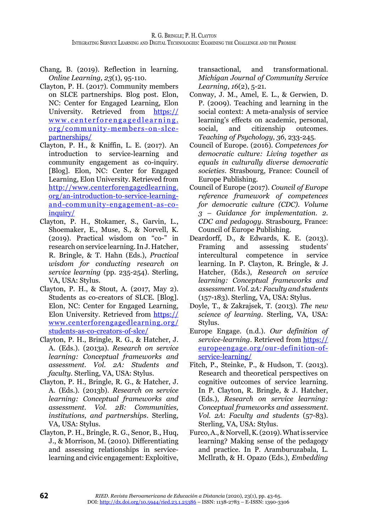- Chang, B. (2019). Reflection in learning. *Online Learning, 23*(1), 95-110.
- Clayton, P. H. (2017). Community members on SLCE partnerships. Blog post. Elon, NC: Center for Engaged Learning, Elon University. Retrieved from [https://](https://www.centerforengagedlearning.org/community-members-on-slce-partnerships/) [www.centerforengagedlearning.](https://www.centerforengagedlearning.org/community-members-on-slce-partnerships/) [org/community-members-on-slce](https://www.centerforengagedlearning.org/community-members-on-slce-partnerships/)[partnerships/](https://www.centerforengagedlearning.org/community-members-on-slce-partnerships/)
- Clayton, P. H., & Kniffin, L. E. (2017). An introduction to service-learning and community engagement as co-inquiry. [Blog]. Elon, NC: Center for Engaged Learning, Elon University. Retrieved from [http://www.centerforengagedlearning.](http://www.centerforengagedlearning.org/an-introduction-to-service-learning-and-community-engagement-as-co-inquiry/) [org/an-introduction-to-service-learning](http://www.centerforengagedlearning.org/an-introduction-to-service-learning-and-community-engagement-as-co-inquiry/)[and-community-engagement-as-co](http://www.centerforengagedlearning.org/an-introduction-to-service-learning-and-community-engagement-as-co-inquiry/)[inquiry/](http://www.centerforengagedlearning.org/an-introduction-to-service-learning-and-community-engagement-as-co-inquiry/)
- Clayton, P. H., Stokamer, S., Garvin, L., Shoemaker, E., Muse, S., & Norvell, K. (2019). Practical wisdom on "co-" in research on service learning. In J. Hatcher, R. Bringle, & T. Hahn (Eds.), *Practical wisdom for conducting research on service learning* (pp. 235-254). Sterling, VA, USA: Stylus.
- Clayton, P. H., & Stout, A. (2017, May 2). Students as co-creators of SLCE. [Blog]. Elon, NC: Center for Engaged Learning, Elon University. Retrieved from [https://](https://www.centerforengagedlearning.org/students-as-co-creators-of-slce/) [www.centerforengagedlearning.org/](https://www.centerforengagedlearning.org/students-as-co-creators-of-slce/) [students-as-co-creators-of-slce/](https://www.centerforengagedlearning.org/students-as-co-creators-of-slce/)
- Clayton, P. H., Bringle, R. G., & Hatcher, J. A. (Eds.). (2013a). *Research on service learning: Conceptual frameworks and assessment. Vol. 2A: Students and faculty*. Sterling, VA, USA: Stylus.
- Clayton, P. H., Bringle, R. G., & Hatcher, J. A. (Eds.). (2013b). *Research on service learning: Conceptual frameworks and assessment. Vol. 2B: Communities, institutions, and partnerships*. Sterling, VA, USA: Stylus.
- Clayton, P. H., Bringle, R. G., Senor, B., Huq, J., & Morrison, M. (2010). Differentiating and assessing relationships in servicelearning and civic engagement: Exploitive,

transactional, and transformational. *Michigan Journal of Community Service Learning, 16*(2), 5-21.

- Conway, J. M., Amel, E. L., & Gerwien, D. P. (2009). Teaching and learning in the social context: A meta-analysis of service learning's effects on academic, personal, social, and citizenship outcomes. *Teaching of Psychology, 36*, 233-245.
- Council of Europe. (2016). *Competences for democratic culture: Living together as equals in culturally diverse democratic societies*. Strasbourg, France: Council of Europe Publishing.
- Council of Europe (2017). *Council of Europe reference framework of competences for democratic culture (CDC). Volume 3 – Guidance for implementation. 2. CDC and pedagogy.* Strasbourg, France: Council of Europe Publishing.
- Deardorff, D., & Edwards, K. E. (2013). Framing and assessing students' intercultural competence in service learning. In P. Clayton, R. Bringle, & J. Hatcher, (Eds.), *Research on service learning: Conceptual frameworks and assessment.Vol. 2A: Faculty and students*  (157-183). Sterling, VA, USA: Stylus.
- Doyle, T., & Zakrajsek, T. (2013). *The new science of learning.* Sterling, VA, USA: Stylus.
- Europe Engage. (n.d.). *Our definition of service-learning*. Retrieved from [https://](https://europeengage.org/our-definition-of-service-learning/) [europeengage.org/our-definition-of](https://europeengage.org/our-definition-of-service-learning/)[service-learning/](https://europeengage.org/our-definition-of-service-learning/)
- Fitch, P., Steinke, P., & Hudson, T. (2013). Research and theoretical perspectives on cognitive outcomes of service learning. In P. Clayton, R. Bringle, & J. Hatcher, (Eds.), *Research on service learning: Conceptual frameworks and assessment*. *Vol. 2A*: *Faculty and students* (57-83). Sterling, VA, USA: Stylus.
- Furco, A., & Norvell, K. (2019). What is service learning? Making sense of the pedagogy and practice. In P. Aramburuzabala, L. McIlrath, & H. Opazo (Eds.), *Embedding*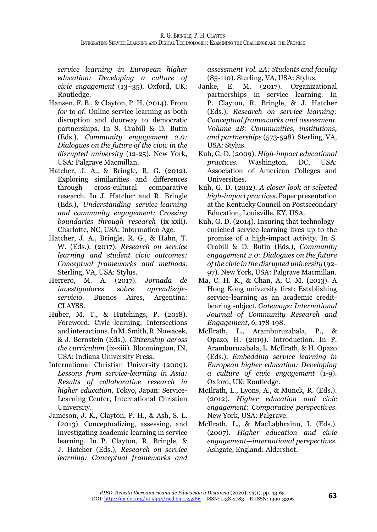*service learning in European higher education: Developing a culture of civic engagement* (13–35). Oxford, UK: Routledge.

- Hansen, F. B., & Clayton, P. H. (2014). From *for* to *of*: Online service-learning as both disruption and doorway to democratic partnerships. In S. Crabill & D. Butin (Eds.), *Community engagement 2.0: Dialogues on the future of the civic in the disrupted university* (12-25). New York, USA: Palgrave Macmillan.
- Hatcher, J. A., & Bringle, R. G. (2012). Exploring similarities and differences<br>through cross-cultural comparative cross-cultural comparative research. In J. Hatcher and R. Bringle (Eds.), *Understanding service-learning and community engagement: Crossing boundaries through research* (ix-xxii). Charlotte, NC, USA: Information Age.
- Hatcher, J. A., Bringle, R. G., & Hahn, T. W. (Eds.). (2017). *Research on service learning and student civic outcomes: Conceptual frameworks and methods.* Sterling, VA, USA: Stylus.
- Herrero, M. A. (2017). *Jornada de investigadores sobre aprendizajeservicio*. Buenos Aires, Argentina: CLAYSS.
- Huber, M. T., & Hutchings, P. (2018). Foreword: Civic learning: Intersections and interactions. In M. Smith, R. Nowacek, & J. Bernstein (Eds.), *Citizenship across the curriculum* (iz-xiii). Bloomington, IN, USA: Indiana University Press.
- International Christian University (2009). *Lessons from service-learning in Asia: Results of collaborative research in higher education*. Tokyo, Japan: Service-Learning Center, International Christian University.
- Jameson, J. K., Clayton, P. H., & Ash, S. L. (2013). Conceptualizing, assessing, and investigating academic learning in service learning. In P. Clayton, R. Bringle, & J. Hatcher (Eds.), *Research on service learning: Conceptual frameworks and*

*assessment Vol. 2A: Students and faculty* (85-110). Sterling, VA, USA: Stylus.

- Janke, E. M. (2017). Organizational partnerships in service learning. In P. Clayton, R. Bringle, & J. Hatcher (Eds.), *Research on service learning: Conceptual frameworks and assessment. Volume 2B: Communities, institutions, and partnerships* (573-598)*.* Sterling, VA, USA: Stylus.
- Kuh, G. D. (2009). *High-impact educational practices.* Washington, DC, USA: Association of American Colleges and **Universities**
- Kuh, G. D. (2012). *A closer look at selected high-impact practices.* Paper presentation at the Kentucky Council on Postsecondary Education, Louisville, KY, USA.
- Kuh, G. D. (2014). Insuring that technologyenriched service-learning lives up to the promise of a high-impact activity. In S. Crabill & D. Butin (Eds.), *Community engagement 2.0: Dialogues on the future of the civic in the disrupted university* (92- 97). New York, USA: Palgrave Macmillan.
- Ma, C. H. K., & Chan, A. C. M. (2013). A Hong Kong university first: Establishing service-learning as an academic creditbearing subject. *Gateways: International Journal of Community Research and Engagement, 6,* 178-198.
- McIlrath, L., Aramburuzabala, P., & Opazo, H. (2019). Introduction. In P. Aramburuzabala, L. McIlrath, & H. Opazo (Eds.), *Embedding service learning in European higher education: Developing a culture of civic engagement* (1-9). Oxford, UK: Routledge.
- McIlrath, L., Lyons, A., & Munck, R. (Eds.). (2012). *Higher education and civic engagement: Comparative perspectives*. New York, USA: Palgrave.
- McIlrath, L., & MacLabhrainn, I. (Eds.). (2007). *Higher education and civic engagement—international perspectives*. Ashgate, England: Aldershot.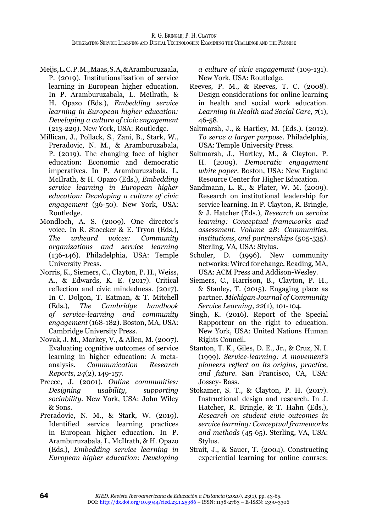- Meijs, L. C. P. M., Maas, S. A, & Aramburuzaala, P. (2019). Institutionalisation of service learning in European higher education. In P. Aramburuzabala, L. McIlrath, & H. Opazo (Eds.), *Embedding service learning in European higher education: Developing a culture of civic engagement* (213-229). New York, USA: Routledge.
- Millican, J., Pollack, S., Zani, B., Stark, W., Preradovic, N. M., & Aramburuzabala, P. (2019). The changing face of higher education: Economic and democratic imperatives. In P. Aramburuzabala, L. McIlrath, & H. Opazo (Eds.), *Embedding service learning in European higher education: Developing a culture of civic engagement* (36-50). New York, USA: Routledge.
- Mondloch, A. S. (2009). One director's voice. In R. Stoecker & E. Tryon (Eds.), *The unheard voices: Community organizations and service learning*  (136-146). Philadelphia, USA: Temple University Press.
- Norris, K., Siemers, C., Clayton, P. H., Weiss, A., & Edwards, K. E. (2017). Critical reflection and civic mindedness. (2017). In C. Dolgon, T. Eatman, & T. Mitchell (Eds.), *The Cambridge handbook of service-learning and community engagement* (168-182). Boston, MA, USA: Cambridge University Press.
- Novak, J. M., Markey, V., & Allen, M. (2007). Evaluating cognitive outcomes of service learning in higher education: A metaanalysis. *Communication Research Reports, 24*(2), 149-157.
- Preece, J. (2001). *Online communities: Designing usability, supporting sociability.* New York, USA: John Wiley & Sons.
- Preradovic, N. M., & Stark, W. (2019). Identified service learning practices in European higher education. In P. Aramburuzabala, L. McIlrath, & H. Opazo (Eds.), *Embedding service learning in European higher education: Developing*

*a culture of civic engagement* (109-131). New York, USA: Routledge.

- Reeves, P. M., & Reeves, T. C. (2008). Design considerations for online learning in health and social work education. *Learning in Health and Social Care, 7*(1), 46-58.
- Saltmarsh, J., & Hartley, M. (Eds.). (2012). *To serve a larger purpose*. Philadelphia, USA: Temple University Press.
- Saltmarsh, J., Hartley, M., & Clayton, P. H. (2009). *Democratic engagement white paper*. Boston, USA: New England Resource Center for Higher Education.
- Sandmann, L. R., & Plater, W. M. (2009). Research on institutional leadership for service learning. In P. Clayton, R. Bringle, & J. Hatcher (Eds.), *Research on service learning: Conceptual frameworks and assessment. Volume 2B: Communities, institutions, and partnerships* (505-535). Sterling, VA, USA: Stylus.
- Schuler, D. (1996). New community networks: Wired for change. Reading, MA, USA: ACM Press and Addison-Wesley.
- Siemers, C., Harrison, B., Clayton, P. H., & Stanley, T. (2015). Engaging place as partner. *Michigan Journal of Community Service Learning, 22*(1), 101-104.
- Singh, K. (2016). Report of the Special Rapporteur on the right to education. New York, USA: United Nations Human Rights Council.
- Stanton, T. K., Giles, D. E., Jr., & Cruz, N. I. (1999). *Service-learning: A movement's pioneers reflect on its origins, practice, and future.* San Francisco, CA, USA: Jossey- Bass.
- Stokamer, S. T., & Clayton, P. H. (2017). Instructional design and research. In J. Hatcher, R. Bringle, & T. Hahn (Eds.), *Research on student civic outcomes in service learning: Conceptual frameworks and methods* (45-65). Sterling, VA, USA: Stylus.
- Strait, J., & Sauer, T. (2004). Constructing experiential learning for online courses: